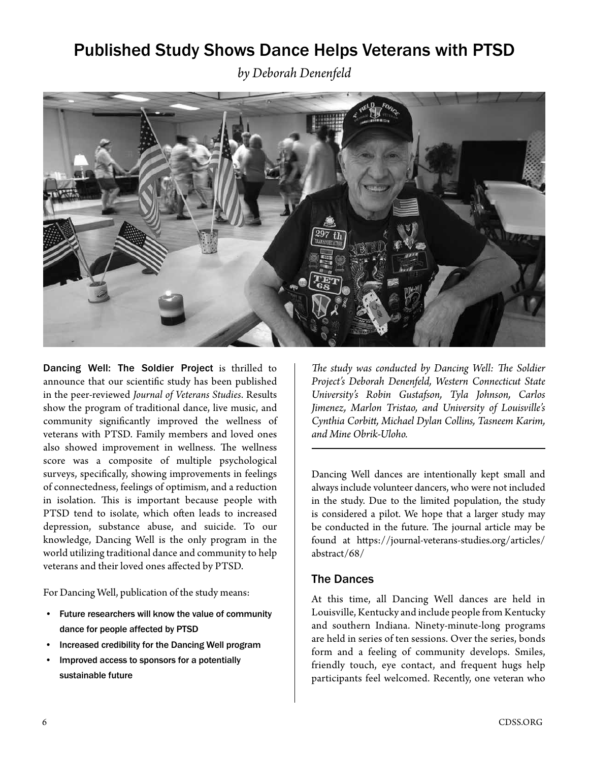## Published Study Shows Dance Helps Veterans with PTSD

*by Deborah Denenfeld* 



Dancing Well: The Soldier Project is thrilled to announce that our scientific study has been published in the peer-reviewed *Journal of Veterans Studies*. Results show the program of traditional dance, live music, and community significantly improved the wellness of veterans with PTSD. Family members and loved ones also showed improvement in wellness. The wellness score was a composite of multiple psychological surveys, specifically, showing improvements in feelings of connectedness, feelings of optimism, and a reduction in isolation. This is important because people with PTSD tend to isolate, which often leads to increased depression, substance abuse, and suicide. To our knowledge, Dancing Well is the only program in the world utilizing traditional dance and community to help veterans and their loved ones affected by PTSD.

For Dancing Well, publication of the study means:

- Future researchers will know the value of community dance for people affected by PTSD
- Increased credibility for the Dancing Well program
- Improved access to sponsors for a potentially sustainable future

*The study was conducted by Dancing Well: The Soldier Project's Deborah Denenfeld, Western Connecticut State University's Robin Gustafson, Tyla Johnson, Carlos Jimenez, Marlon Tristao, and University of Louisville's Cynthia Corbitt, Michael Dylan Collins, Tasneem Karim, and Mine Obrik-Uloho.*

Dancing Well dances are intentionally kept small and always include volunteer dancers, who were not included in the study. Due to the limited population, the study is considered a pilot. We hope that a larger study may be conducted in the future. The journal article may be found at https://journal-veterans-studies.org/articles/ abstract/68/

#### The Dances

At this time, all Dancing Well dances are held in Louisville, Kentucky and include people from Kentucky and southern Indiana. Ninety-minute-long programs are held in series of ten sessions. Over the series, bonds form and a feeling of community develops. Smiles, friendly touch, eye contact, and frequent hugs help participants feel welcomed. Recently, one veteran who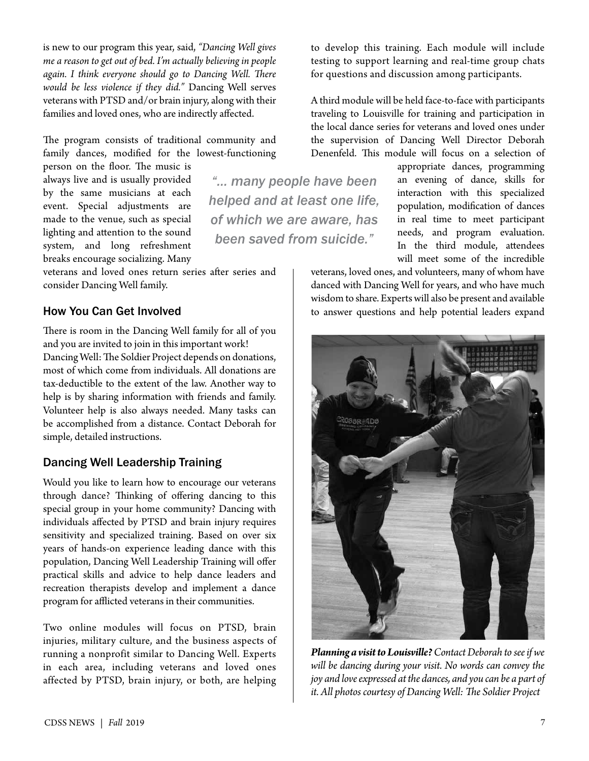is new to our program this year, said, *"Dancing Well gives me a reason to get out of bed. I'm actually believing in people again. I think everyone should go to Dancing Well. There would be less violence if they did."* Dancing Well serves veterans with PTSD and/or brain injury, along with their families and loved ones, who are indirectly affected.

The program consists of traditional community and family dances, modified for the lowest-functioning

*"… many people have been* 

*helped and at least one life, of which we are aware, has been saved from suicide."*

person on the floor. The music is always live and is usually provided by the same musicians at each event. Special adjustments are made to the venue, such as special lighting and attention to the sound system, and long refreshment breaks encourage socializing. Many

veterans and loved ones return series after series and consider Dancing Well family.

#### How You Can Get Involved

There is room in the Dancing Well family for all of you and you are invited to join in this important work! Dancing Well: The Soldier Project depends on donations, most of which come from individuals. All donations are tax-deductible to the extent of the law. Another way to help is by sharing information with friends and family. Volunteer help is also always needed. Many tasks can be accomplished from a distance. Contact Deborah for simple, detailed instructions.

### Dancing Well Leadership Training

Would you like to learn how to encourage our veterans through dance? Thinking of offering dancing to this special group in your home community? Dancing with individuals affected by PTSD and brain injury requires sensitivity and specialized training. Based on over six years of hands-on experience leading dance with this population, Dancing Well Leadership Training will offer practical skills and advice to help dance leaders and recreation therapists develop and implement a dance program for afflicted veterans in their communities.

Two online modules will focus on PTSD, brain injuries, military culture, and the business aspects of running a nonprofit similar to Dancing Well. Experts in each area, including veterans and loved ones affected by PTSD, brain injury, or both, are helping

to develop this training. Each module will include testing to support learning and real-time group chats for questions and discussion among participants.

A third module will be held face-to-face with participants traveling to Louisville for training and participation in the local dance series for veterans and loved ones under the supervision of Dancing Well Director Deborah Denenfeld. This module will focus on a selection of

> appropriate dances, programming an evening of dance, skills for interaction with this specialized population, modification of dances in real time to meet participant needs, and program evaluation. In the third module, attendees will meet some of the incredible

veterans, loved ones, and volunteers, many of whom have danced with Dancing Well for years, and who have much wisdom to share. Experts will also be present and available to answer questions and help potential leaders expand



*Planning a visit to Louisville? Contact Deborah to see if we will be dancing during your visit. No words can convey the joy and love expressed at the dances, and you can be a part of it. All photos courtesy of Dancing Well: The Soldier Project*